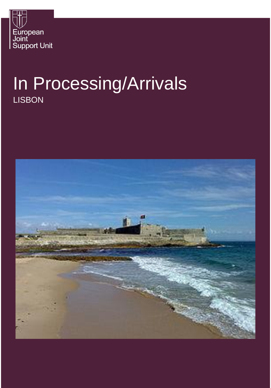

# In Processing/Arrivals **LISBON**

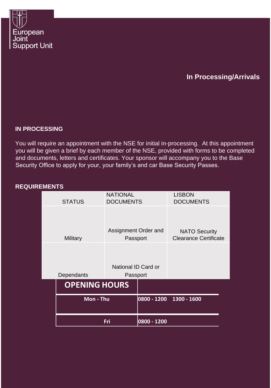

# **In Processing/Arrivals**

# **IN PROCESSING**

You will require an appointment with the NSE for initial in-processing. At this appointment you will be given a brief by each member of the NSE, provided with forms to be completed and documents, letters and certificates. Your sponsor will accompany you to the Base Security Office to apply for your, your family's and car Base Security Passes.

# **REQUIREMENTS**

|                        | <b>NATIONAL</b>                  |             | <b>LISBON</b>                                        |
|------------------------|----------------------------------|-------------|------------------------------------------------------|
| <b>STATUS</b>          | <b>DOCUMENTS</b>                 |             | <b>DOCUMENTS</b>                                     |
| Military               | Assignment Order and<br>Passport |             | <b>NATO Security</b><br><b>Clearance Certificate</b> |
|                        |                                  |             |                                                      |
|                        | National ID Card or              |             |                                                      |
| Dependants<br>Passport |                                  |             |                                                      |
| <b>OPENING HOURS</b>   |                                  |             |                                                      |
| Mon - Thu              |                                  |             | 0800 - 1200 1300 - 1600                              |
| Fri                    |                                  | 0800 - 1200 |                                                      |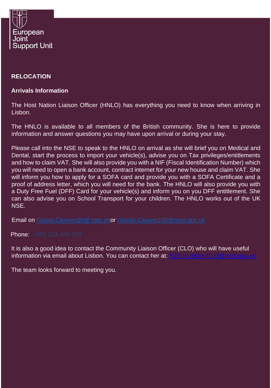

# **RELOCATION**

# **Arrivals Information**

The Host Nation Liaison Officer (HNLO) has everything you need to know when arriving in Lisbon.

The HNLO is available to all members of the British community. She is here to provide information and answer questions you may have upon arrival or during your stay.

Please call into the NSE to speak to the HNLO on arrival as she will brief you on Medical and Dental, start the process to import your vehicle(s), advise you on Tax privileges/entitlements and how to claim VAT. She will also provide you with a NIF (Fiscal Identification Number) which you will need to open a bank account, contract internet for your new house and claim VAT. She will inform you how to apply for a SOFA card and provide you with a SOFA Certificate and a proof of address letter, which you will need for the bank. The HNLO will also provide you with a Duty Free Fuel (DFF) Card for your vehicle(s) and inform you on you DFF entitlement. She can also advise you on School Transport for your children. The HNLO works out of the UK NSE.

Email on [Gisela.Casano@rgf.nato.into](mailto:Gisela.Casano@rgf.nato.int)r [Gisella.Casano100@mod.gov.uk](mailto:Gisella.Casano100@mod.gov.uk)

Phone:  $+351$  214 404 393

It is also a good idea to contact the Community Liaison Officer (CLO) who will have useful information via email about Lisbon. You can contact her at: EJSU-Lisbon-CLO@mod.gov.ul

The team looks forward to meeting you.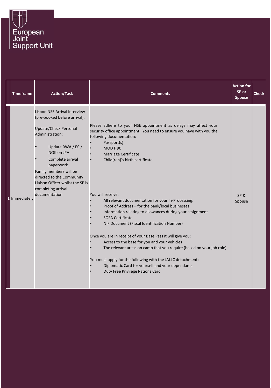

|              | <b>Timeframe</b> | <b>Action/Task</b>                                                                                                                                                                                                                                                                                                    | <b>Comments</b>                                                                                                                                                                                                                                                                                                                                                                                                                                                                                                                                                                                                                                                                                                                                                                                                                                                             | <b>Action for</b><br>SP or<br><b>Spouse</b> | <b>Check</b> |
|--------------|------------------|-----------------------------------------------------------------------------------------------------------------------------------------------------------------------------------------------------------------------------------------------------------------------------------------------------------------------|-----------------------------------------------------------------------------------------------------------------------------------------------------------------------------------------------------------------------------------------------------------------------------------------------------------------------------------------------------------------------------------------------------------------------------------------------------------------------------------------------------------------------------------------------------------------------------------------------------------------------------------------------------------------------------------------------------------------------------------------------------------------------------------------------------------------------------------------------------------------------------|---------------------------------------------|--------------|
| $\mathbf{1}$ | Immediately      | Lisbon NSE Arrival Interview<br>(pre-booked before arrival):<br><b>Update/Check Personal</b><br>Administration:<br>Update RWA / EC /<br>NOK on JPA<br>Complete arrival<br>paperwork<br>Family members will be<br>directed to the Community<br>Liaison Officer whilst the SP is<br>completing arrival<br>documentation | Please adhere to your NSE appointment as delays may affect your<br>security office appointment. You need to ensure you have with you the<br>following documentation:<br>Passport(s)<br>MODF90<br>Marriage Certificate<br>Child(ren)'s birth certificate<br>You will receive:<br>All relevant documentation for your In-Processing.<br>Proof of Address - for the bank/local businesses<br>Information relating to allowances during your assignment<br><b>SOFA Certificate</b><br>NIF Document (Fiscal Identification Number)<br>Once you are in receipt of your Base Pass it will give you:<br>Access to the base for you and your vehicles<br>The relevant areas on camp that you require (based on your job role)<br>You must apply for the following with the JALLC detachment:<br>Diplomatic Card for yourself and your dependants<br>Duty Free Privilege Rations Card | SP&<br>Spouse                               |              |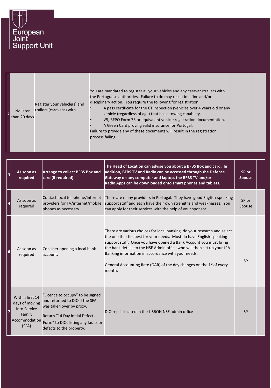

|  | No later<br>than 20 days | Register your vehicle(s) and<br>trailers (caravans) with | You are mandated to register all your vehicles and any caravan/trailers with<br>the Portuguese authorities. Failure to do may result in a fine and/or<br>disciplinary action. You require the following for registration:<br>A pass certificate for the CT Inspection (vehicles over 4 years old or any<br>vehicle (regardless of age) that has a towing capability.<br>V5, BFPO Form 73 or equivalent vehicle registration documentation.<br>A Green Card proving valid insurance for Portugal.<br>Failure to provide any of these documents will result in the registration<br>process failing. |  |  |
|--|--------------------------|----------------------------------------------------------|---------------------------------------------------------------------------------------------------------------------------------------------------------------------------------------------------------------------------------------------------------------------------------------------------------------------------------------------------------------------------------------------------------------------------------------------------------------------------------------------------------------------------------------------------------------------------------------------------|--|--|
|--|--------------------------|----------------------------------------------------------|---------------------------------------------------------------------------------------------------------------------------------------------------------------------------------------------------------------------------------------------------------------------------------------------------------------------------------------------------------------------------------------------------------------------------------------------------------------------------------------------------------------------------------------------------------------------------------------------------|--|--|

| $\overline{\mathbf{3}}$ | As soon as<br>required                                                                | <b>Arrange to collect BFBS Box and</b><br>card (if required).                                                                                                                                       | The Head of Location can advise you about a BFBS Box and card. In<br>addition, BFBS TV and Radio can be accessed through the Defence<br>Gateway on any computer and laptop, the BFBS TV and/or<br>Radio Apps can be downloaded onto smart phones and tablets.                                                                                                                                                                                       | SP or<br><b>Spouse</b> |  |
|-------------------------|---------------------------------------------------------------------------------------|-----------------------------------------------------------------------------------------------------------------------------------------------------------------------------------------------------|-----------------------------------------------------------------------------------------------------------------------------------------------------------------------------------------------------------------------------------------------------------------------------------------------------------------------------------------------------------------------------------------------------------------------------------------------------|------------------------|--|
|                         | As soon as<br>required                                                                | Contact local telephone/internet<br>providers for TV/internet/mobile<br>phones as necessary.                                                                                                        | There are many providers in Portugal. They have good English-speaking<br>support staff and each have their own strengths and weaknesses. You<br>can apply for their services with the help of your sponsor.                                                                                                                                                                                                                                         | SP or<br>Spouse        |  |
|                         | As soon as<br>required                                                                | Consider opening a local bank<br>account.                                                                                                                                                           | There are various choices for local banking, do your research and select<br>the one that fits best for your needs. Most do have English-speaking<br>support staff. Once you have opened a Bank Account you must bring<br>the bank details to the NSE Admin office who will then set up your JPA<br>Banking information in accordance with your needs.<br>General Accounting Rate (GAR) of the day changes on the 1 <sup>st</sup> of every<br>month. | <b>SP</b>              |  |
|                         | Within first 14<br>days of moving<br>into Service<br>Family<br>Accommodation<br>(SFA) | "Licence to occupy" to be signed<br>and returned to DIO if the SFA<br>was taken over by proxy.<br>Return "14 Day Initial Defects<br>Form" to DIO, listing any faults or<br>defects to the property. | DIO rep is located in the LISBON NSE admin office                                                                                                                                                                                                                                                                                                                                                                                                   | <b>SP</b>              |  |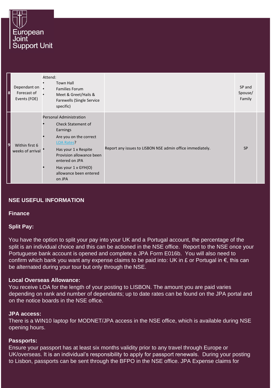

| 8              | Dependant on .<br>Forecast of<br>Events (FOE) | Attend:<br><b>Town Hall</b><br><b>Families Forum</b><br>Meet & Greet/Hails &<br>Farewells (Single Service<br>specific)                                                                                                                                         |                                                           | SP and<br>Spouse/<br>Family |
|----------------|-----------------------------------------------|----------------------------------------------------------------------------------------------------------------------------------------------------------------------------------------------------------------------------------------------------------------|-----------------------------------------------------------|-----------------------------|
| $\overline{9}$ | Within first 6<br>weeks of arrival            | <b>Personal Administration</b><br><b>Check Statement of</b><br>Earnings<br>Are you on the correct<br><b>LOA Rates?</b><br>Has your 1 x Respite<br>Provision allowance been<br>entered on JPA<br>Has your $1 \times GYH(O)$<br>allowance been entered<br>on JPA | Report any issues to LISBON NSE admin office immediately. | <b>SP</b>                   |

# **NSE USEFUL INFORMATION**

**Finance**

#### **Split Pay:**

You have the option to split your pay into your UK and a Portugal account, the percentage of the split is an individual choice and this can be actioned in the NSE office. Report to the NSE once your Portuguese bank account is opened and complete a JPA Form E016b. You will also need to confirm which bank you want any expense claims to be paid into: UK in £ or Portugal in  $\epsilon$ , this can be alternated during your tour but only through the NSE.

#### **Local Overseas Allowance:**

You receive LOA for the length of your posting to LISBON. The amount you are paid varies depending on rank and number of dependants; up to date rates can be found on the JPA portal and on the notice boards in the NSE office.

#### **JPA access:**

There is a WIN10 laptop for MODNET/JPA access in the NSE office, which is available during NSE opening hours.

#### **Passports:**

Ensure your passport has at least six months validity prior to any travel through Europe or UK/overseas. It is an individual's responsibility to apply for passport renewals. During your posting to Lisbon, passports can be sent through the BFPO in the NSE office. JPA Expense claims for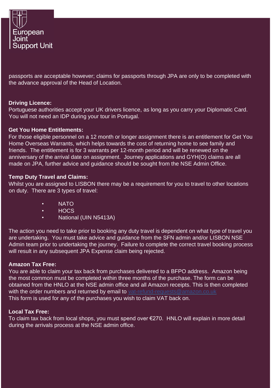

passports are acceptable however; claims for passports through JPA are only to be completed with the advance approval of the Head of Location.

#### **Driving Licence:**

Portuguese authorities accept your UK drivers licence, as long as you carry your Diplomatic Card. You will not need an IDP during your tour in Portugal.

#### **Get You Home Entitlements:**

For those eligible personnel on a 12 month or longer assignment there is an entitlement for Get You Home Overseas Warrants, which helps towards the cost of returning home to see family and friends. The entitlement is for 3 warrants per 12-month period and will be renewed on the anniversary of the arrival date on assignment. Journey applications and GYH(O) claims are all made on JPA, further advice and guidance should be sought from the NSE Admin Office.

#### **Temp Duty Travel and Claims:**

Whilst you are assigned to LISBON there may be a requirement for you to travel to other locations on duty. There are 3 types of travel:

- NATO
- HOCS
- National (UIN N5413A)

The action you need to take prior to booking any duty travel is dependent on what type of travel you are undertaking. You must take advice and guidance from the SFN admin and/or LISBON NSE Admin team prior to undertaking the journey. Failure to complete the correct travel booking process will result in any subsequent JPA Expense claim being rejected.

#### **Amazon Tax Free:**

You are able to claim your tax back from purchases delivered to a BFPO address. Amazon being the most common must be completed within three months of the purchase. The form can be obtained from the HNLO at the NSE admin office and all Amazon receipts. This is then completed with the order numbers and returned by email to vat-refund-requests@amazon.co.uk This form is used for any of the purchases you wish to claim VAT back on.

#### **Local Tax Free:**

To claim tax back from local shops, you must spend over €270. HNLO will explain in more detail during the arrivals process at the NSE admin office.